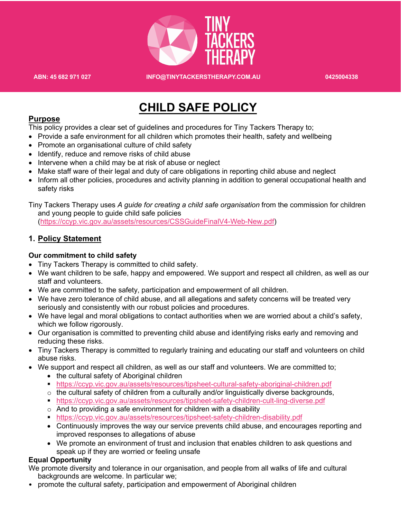

**ABN: 45 682 971 027 INFO@TINYTACKERSTHERAPY.COM.AU 0425004338**

## **CHILD SAFE POLICY**

#### **Purpose**

This policy provides a clear set of guidelines and procedures for Tiny Tackers Therapy to;

- Provide a safe environment for all children which promotes their health, safety and wellbeing
- Promote an organisational culture of child safety
- Identify, reduce and remove risks of child abuse
- Intervene when a child may be at risk of abuse or neglect
- Make staff ware of their legal and duty of care obligations in reporting child abuse and neglect
- Inform all other policies, procedures and activity planning in addition to general occupational health and safety risks

Tiny Tackers Therapy uses *A guide for creating a child safe organisation* from the commission for children and young people to guide child safe policies

(https://ccyp.vic.gov.au/assets/resources/CSSGuideFinalV4-Web-New.pdf)

#### **1. Policy Statement**

#### **Our commitment to child safety**

- Tiny Tackers Therapy is committed to child safety.
- We want children to be safe, happy and empowered. We support and respect all children, as well as our staff and volunteers.
- We are committed to the safety, participation and empowerment of all children.
- We have zero tolerance of child abuse, and all allegations and safety concerns will be treated very seriously and consistently with our robust policies and procedures.
- We have legal and moral obligations to contact authorities when we are worried about a child's safety, which we follow rigorously.
- Our organisation is committed to preventing child abuse and identifying risks early and removing and reducing these risks.
- Tiny Tackers Therapy is committed to regularly training and educating our staff and volunteers on child abuse risks.
- We support and respect all children, as well as our staff and volunteers. We are committed to;
	- the cultural safety of Aboriginal children
	- § https://ccyp.vic.gov.au/assets/resources/tipsheet-cultural-safety-aboriginal-children.pdf
	- $\circ$  the cultural safety of children from a culturally and/or linguistically diverse backgrounds,
	- § https://ccyp.vic.gov.au/assets/resources/tipsheet-safety-children-cult-ling-diverse.pdf
	- $\circ$  And to providing a safe environment for children with a disability
	- § https://ccyp.vic.gov.au/assets/resources/tipsheet-safety-children-disability.pdf
	- Continuously improves the way our service prevents child abuse, and encourages reporting and improved responses to allegations of abuse
	- We promote an environment of trust and inclusion that enables children to ask questions and speak up if they are worried or feeling unsafe

#### **Equal Opportunity**

We promote diversity and tolerance in our organisation, and people from all walks of life and cultural backgrounds are welcome. In particular we;

• promote the cultural safety, participation and empowerment of Aboriginal children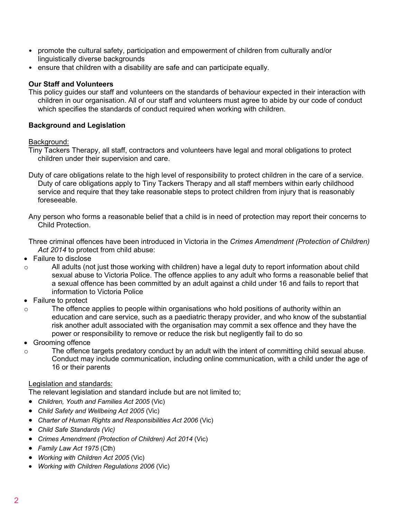- promote the cultural safety, participation and empowerment of children from culturally and/or linguistically diverse backgrounds
- ensure that children with a disability are safe and can participate equally.

#### **Our Staff and Volunteers**

This policy guides our staff and volunteers on the standards of behaviour expected in their interaction with children in our organisation. All of our staff and volunteers must agree to abide by our code of conduct which specifies the standards of conduct required when working with children.

#### **Background and Legislation**

#### Background:

Tiny Tackers Therapy, all staff, contractors and volunteers have legal and moral obligations to protect children under their supervision and care.

- Duty of care obligations relate to the high level of responsibility to protect children in the care of a service. Duty of care obligations apply to Tiny Tackers Therapy and all staff members within early childhood service and require that they take reasonable steps to protect children from injury that is reasonably foreseeable.
- Any person who forms a reasonable belief that a child is in need of protection may report their concerns to Child Protection.

Three criminal offences have been introduced in Victoria in the *Crimes Amendment (Protection of Children) Act 2014* to protect from child abuse:

- Failure to disclose
- o All adults (not just those working with children) have a legal duty to report information about child sexual abuse to Victoria Police. The offence applies to any adult who forms a reasonable belief that a sexual offence has been committed by an adult against a child under 16 and fails to report that information to Victoria Police
- Failure to protect
- o The offence applies to people within organisations who hold positions of authority within an education and care service, such as a paediatric therapy provider, and who know of the substantial risk another adult associated with the organisation may commit a sex offence and they have the power or responsibility to remove or reduce the risk but negligently fail to do so
- Grooming offence
- o The offence targets predatory conduct by an adult with the intent of committing child sexual abuse. Conduct may include communication, including online communication, with a child under the age of 16 or their parents

#### Legislation and standards:

The relevant legislation and standard include but are not limited to;

- *Children, Youth and Families Act 2005* (Vic)
- *Child Safety and Wellbeing Act 2005* (Vic)
- *Charter of Human Rights and Responsibilities Act 2006* (Vic)
- *Child Safe Standards (Vic)*
- *Crimes Amendment (Protection of Children) Act 2014* (Vic)
- *Family Law Act 1975* (Cth)
- *Working with Children Act 2005* (Vic)
- *Working with Children Regulations 2006* (Vic)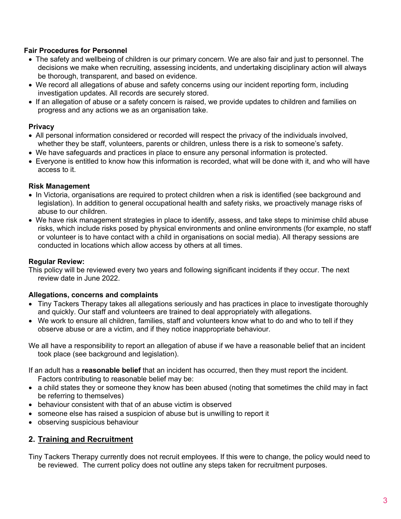#### **Fair Procedures for Personnel**

- The safety and wellbeing of children is our primary concern. We are also fair and just to personnel. The decisions we make when recruiting, assessing incidents, and undertaking disciplinary action will always be thorough, transparent, and based on evidence.
- We record all allegations of abuse and safety concerns using our incident reporting form, including investigation updates. All records are securely stored.
- If an allegation of abuse or a safety concern is raised, we provide updates to children and families on progress and any actions we as an organisation take.

#### **Privacy**

- All personal information considered or recorded will respect the privacy of the individuals involved, whether they be staff, volunteers, parents or children, unless there is a risk to someone's safety.
- We have safeguards and practices in place to ensure any personal information is protected.
- Everyone is entitled to know how this information is recorded, what will be done with it, and who will have access to it.

#### **Risk Management**

- In Victoria, organisations are required to protect children when a risk is identified (see background and legislation). In addition to general occupational health and safety risks, we proactively manage risks of abuse to our children.
- We have risk management strategies in place to identify, assess, and take steps to minimise child abuse risks, which include risks posed by physical environments and online environments (for example, no staff or volunteer is to have contact with a child in organisations on social media). All therapy sessions are conducted in locations which allow access by others at all times.

#### **Regular Review:**

This policy will be reviewed every two years and following significant incidents if they occur. The next review date in June 2022.

#### **Allegations, concerns and complaints**

- Tiny Tackers Therapy takes all allegations seriously and has practices in place to investigate thoroughly and quickly. Our staff and volunteers are trained to deal appropriately with allegations.
- We work to ensure all children, families, staff and volunteers know what to do and who to tell if they observe abuse or are a victim, and if they notice inappropriate behaviour.

We all have a responsibility to report an allegation of abuse if we have a reasonable belief that an incident took place (see background and legislation).

If an adult has a **reasonable belief** that an incident has occurred, then they must report the incident. Factors contributing to reasonable belief may be:

- a child states they or someone they know has been abused (noting that sometimes the child may in fact be referring to themselves)
- behaviour consistent with that of an abuse victim is observed
- someone else has raised a suspicion of abuse but is unwilling to report it
- observing suspicious behaviour

### **2. Training and Recruitment**

Tiny Tackers Therapy currently does not recruit employees. If this were to change, the policy would need to be reviewed. The current policy does not outline any steps taken for recruitment purposes.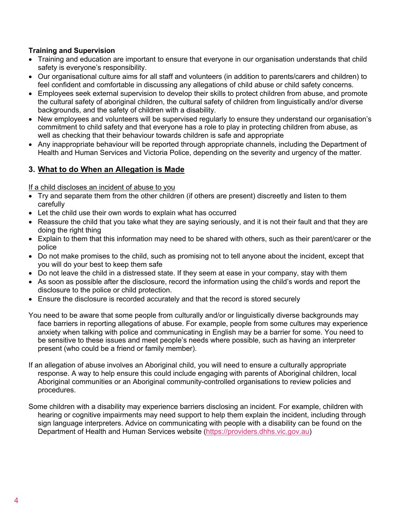#### **Training and Supervision**

- Training and education are important to ensure that everyone in our organisation understands that child safety is everyone's responsibility.
- Our organisational culture aims for all staff and volunteers (in addition to parents/carers and children) to feel confident and comfortable in discussing any allegations of child abuse or child safety concerns.
- Employees seek external supervision to develop their skills to protect children from abuse, and promote the cultural safety of aboriginal children, the cultural safety of children from linguistically and/or diverse backgrounds, and the safety of children with a disability.
- New employees and volunteers will be supervised regularly to ensure they understand our organisation's commitment to child safety and that everyone has a role to play in protecting children from abuse, as well as checking that their behaviour towards children is safe and appropriate
- Any inappropriate behaviour will be reported through appropriate channels, including the Department of Health and Human Services and Victoria Police, depending on the severity and urgency of the matter.

### **3. What to do When an Allegation is Made**

If a child discloses an incident of abuse to you

- Try and separate them from the other children (if others are present) discreetly and listen to them carefully
- Let the child use their own words to explain what has occurred
- Reassure the child that you take what they are saying seriously, and it is not their fault and that they are doing the right thing
- Explain to them that this information may need to be shared with others, such as their parent/carer or the police
- Do not make promises to the child, such as promising not to tell anyone about the incident, except that you will do your best to keep them safe
- Do not leave the child in a distressed state. If they seem at ease in your company, stay with them
- As soon as possible after the disclosure, record the information using the child's words and report the disclosure to the police or child protection.
- Ensure the disclosure is recorded accurately and that the record is stored securely
- You need to be aware that some people from culturally and/or or linguistically diverse backgrounds may face barriers in reporting allegations of abuse. For example, people from some cultures may experience anxiety when talking with police and communicating in English may be a barrier for some. You need to be sensitive to these issues and meet people's needs where possible, such as having an interpreter present (who could be a friend or family member).
- If an allegation of abuse involves an Aboriginal child, you will need to ensure a culturally appropriate response. A way to help ensure this could include engaging with parents of Aboriginal children, local Aboriginal communities or an Aboriginal community-controlled organisations to review policies and procedures.
- Some children with a disability may experience barriers disclosing an incident. For example, children with hearing or cognitive impairments may need support to help them explain the incident, including through sign language interpreters. Advice on communicating with people with a disability can be found on the Department of Health and Human Services website (https://providers.dhhs.vic.gov.au)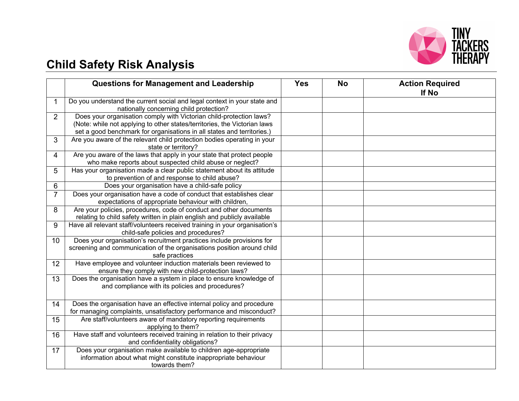

# **Child Safety Risk Analysis**

|                 | <b>Questions for Management and Leadership</b>                                                                                                                                                                             | <b>Yes</b> | <b>No</b> | <b>Action Required</b><br>If No |
|-----------------|----------------------------------------------------------------------------------------------------------------------------------------------------------------------------------------------------------------------------|------------|-----------|---------------------------------|
|                 | Do you understand the current social and legal context in your state and<br>nationally concerning child protection?                                                                                                        |            |           |                                 |
| $\overline{2}$  | Does your organisation comply with Victorian child-protection laws?<br>(Note: while not applying to other states/territories, the Victorian laws<br>set a good benchmark for organisations in all states and territories.) |            |           |                                 |
| 3               | Are you aware of the relevant child protection bodies operating in your<br>state or territory?                                                                                                                             |            |           |                                 |
| 4               | Are you aware of the laws that apply in your state that protect people<br>who make reports about suspected child abuse or neglect?                                                                                         |            |           |                                 |
| 5               | Has your organisation made a clear public statement about its attitude<br>to prevention of and response to child abuse?                                                                                                    |            |           |                                 |
| 6               | Does your organisation have a child-safe policy                                                                                                                                                                            |            |           |                                 |
| $\overline{7}$  | Does your organisation have a code of conduct that establishes clear<br>expectations of appropriate behaviour with children,                                                                                               |            |           |                                 |
| 8               | Are your policies, procedures, code of conduct and other documents<br>relating to child safety written in plain english and publicly available                                                                             |            |           |                                 |
| 9               | Have all relevant staff/volunteers received training in your organisation's<br>child-safe policies and procedures?                                                                                                         |            |           |                                 |
| 10 <sup>°</sup> | Does your organisation's recruitment practices include provisions for<br>screening and communication of the organisations position around child<br>safe practices                                                          |            |           |                                 |
| 12              | Have employee and volunteer induction materials been reviewed to<br>ensure they comply with new child-protection laws?                                                                                                     |            |           |                                 |
| 13              | Does the organisation have a system in place to ensure knowledge of<br>and compliance with its policies and procedures?                                                                                                    |            |           |                                 |
| 14              | Does the organisation have an effective internal policy and procedure<br>for managing complaints, unsatisfactory performance and misconduct?                                                                               |            |           |                                 |
| 15              | Are staff/volunteers aware of mandatory reporting requirements<br>applying to them?                                                                                                                                        |            |           |                                 |
| 16              | Have staff and volunteers received training in relation to their privacy<br>and confidentiality obligations?                                                                                                               |            |           |                                 |
| 17              | Does your organisation make available to children age-appropriate<br>information about what might constitute inappropriate behaviour<br>towards them?                                                                      |            |           |                                 |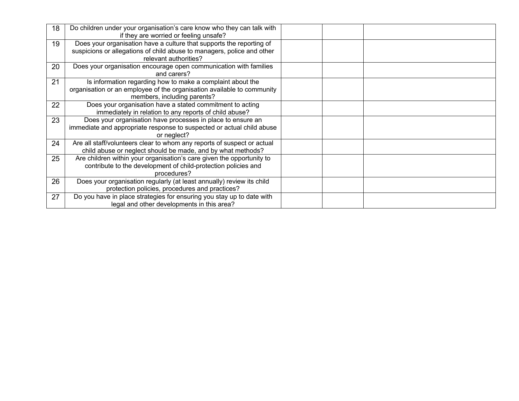| 18 | Do children under your organisation's care know who they can talk with<br>if they are worried or feeling unsafe?                                                        |  |
|----|-------------------------------------------------------------------------------------------------------------------------------------------------------------------------|--|
| 19 | Does your organisation have a culture that supports the reporting of<br>suspicions or allegations of child abuse to managers, police and other<br>relevant authorities? |  |
| 20 | Does your organisation encourage open communication with families<br>and carers?                                                                                        |  |
| 21 | Is information regarding how to make a complaint about the<br>organisation or an employee of the organisation available to community<br>members, including parents?     |  |
| 22 | Does your organisation have a stated commitment to acting<br>immediately in relation to any reports of child abuse?                                                     |  |
| 23 | Does your organisation have processes in place to ensure an<br>immediate and appropriate response to suspected or actual child abuse<br>or neglect?                     |  |
| 24 | Are all staff/volunteers clear to whom any reports of suspect or actual<br>child abuse or neglect should be made, and by what methods?                                  |  |
| 25 | Are children within your organisation's care given the opportunity to<br>contribute to the development of child-protection policies and<br>procedures?                  |  |
| 26 | Does your organisation regularly (at least annually) review its child<br>protection policies, procedures and practices?                                                 |  |
| 27 | Do you have in place strategies for ensuring you stay up to date with<br>legal and other developments in this area?                                                     |  |